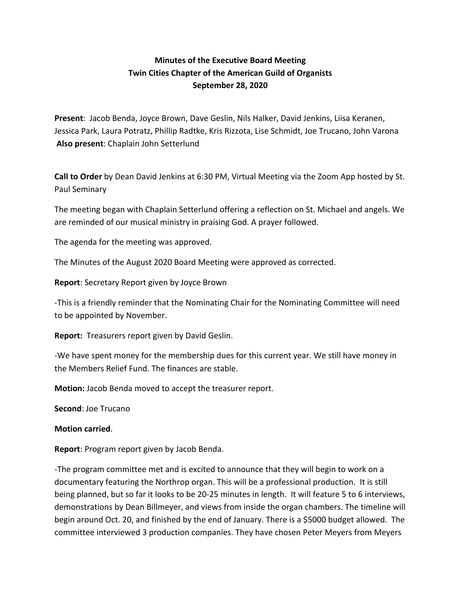## **Minutes of the Executive Board Meeting Twin Cities Chapter of the American Guild of Organists September 28, 2020**

**Present**: Jacob Benda, Joyce Brown, Dave Geslin, Nils Halker, David Jenkins, Liisa Keranen, Jessica Park, Laura Potratz, Phillip Radtke, Kris Rizzota, Lise Schmidt, Joe Trucano, John Varona **Also present**: Chaplain John Setterlund

**Call to Order** by Dean David Jenkins at 6:30 PM, Virtual Meeting via the Zoom App hosted by St. Paul Seminary

The meeting began with Chaplain Setterlund offering a reflection on St. Michael and angels. We are reminded of our musical ministry in praising God. A prayer followed.

The agenda for the meeting was approved.

The Minutes of the August 2020 Board Meeting were approved as corrected.

**Report**: Secretary Report given by Joyce Brown

-This is a friendly reminder that the Nominating Chair for the Nominating Committee will need to be appointed by November.

**Report:** Treasurers report given by David Geslin.

-We have spent money for the membership dues for this current year. We still have money in the Members Relief Fund. The finances are stable.

**Motion:** Jacob Benda moved to accept the treasurer report.

**Second**: Joe Trucano

**Motion carried**.

**Report**: Program report given by Jacob Benda.

-The program committee met and is excited to announce that they will begin to work on a documentary featuring the Northrop organ. This will be a professional production. It is still being planned, but so far it looks to be 20-25 minutes in length. It will feature 5 to 6 interviews, demonstrations by Dean Billmeyer, and views from inside the organ chambers. The timeline will begin around Oct. 20, and finished by the end of January. There is a \$5000 budget allowed. The committee interviewed 3 production companies. They have chosen Peter Meyers from Meyers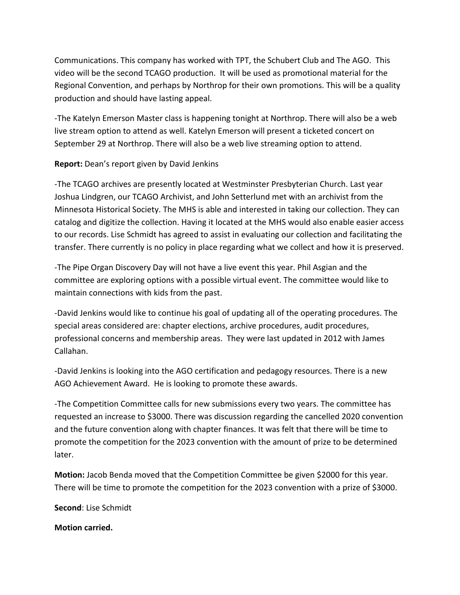Communications. This company has worked with TPT, the Schubert Club and The AGO. This video will be the second TCAGO production. It will be used as promotional material for the Regional Convention, and perhaps by Northrop for their own promotions. This will be a quality production and should have lasting appeal.

-The Katelyn Emerson Master class is happening tonight at Northrop. There will also be a web live stream option to attend as well. Katelyn Emerson will present a ticketed concert on September 29 at Northrop. There will also be a web live streaming option to attend.

## **Report:** Dean's report given by David Jenkins

-The TCAGO archives are presently located at Westminster Presbyterian Church. Last year Joshua Lindgren, our TCAGO Archivist, and John Setterlund met with an archivist from the Minnesota Historical Society. The MHS is able and interested in taking our collection. They can catalog and digitize the collection. Having it located at the MHS would also enable easier access to our records. Lise Schmidt has agreed to assist in evaluating our collection and facilitating the transfer. There currently is no policy in place regarding what we collect and how it is preserved.

-The Pipe Organ Discovery Day will not have a live event this year. Phil Asgian and the committee are exploring options with a possible virtual event. The committee would like to maintain connections with kids from the past.

-David Jenkins would like to continue his goal of updating all of the operating procedures. The special areas considered are: chapter elections, archive procedures, audit procedures, professional concerns and membership areas. They were last updated in 2012 with James Callahan.

-David Jenkins is looking into the AGO certification and pedagogy resources. There is a new AGO Achievement Award. He is looking to promote these awards.

-The Competition Committee calls for new submissions every two years. The committee has requested an increase to \$3000. There was discussion regarding the cancelled 2020 convention and the future convention along with chapter finances. It was felt that there will be time to promote the competition for the 2023 convention with the amount of prize to be determined later.

**Motion:** Jacob Benda moved that the Competition Committee be given \$2000 for this year. There will be time to promote the competition for the 2023 convention with a prize of \$3000.

**Second**: Lise Schmidt

**Motion carried.**